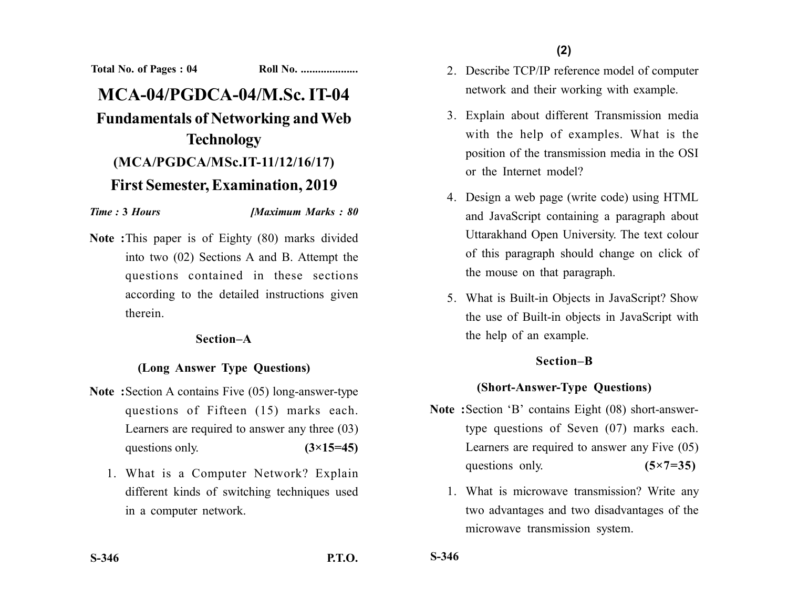**Total No. of Pages : 04 Roll No. ....................**

# **MCA-04/PGDCA-04/M.Sc. IT-04 Fundamentals of Networking and Web Technology (MCA/PGDCA/MSc.IT-11/12/16/17) First Semester, Examination, 2019**

#### *Time :* **3** *Hours [Maximum Marks : 80*

**Note :**This paper is of Eighty (80) marks divided into two (02) Sections A and B. Attempt the questions contained in these sections according to the detailed instructions given therein.

#### **Section–A**

### **(Long Answer Type Questions)**

- **Note :**Section A contains Five (05) long-answer-type questions of Fifteen (15) marks each. Learners are required to answer any three (03) questions only.  $(3\times15=45)$ 
	- 1. What is a Computer Network? Explain different kinds of switching techniques used in a computer network.
- 2. Describe TCP/IP reference model of computer network and their working with example.
- 3. Explain about different Transmission media with the help of examples. What is the position of the transmission media in the OSI or the Internet model?
- 4. Design a web page (write code) using HTML and JavaScript containing a paragraph about Uttarakhand Open University. The text colour of this paragraph should change on click of the mouse on that paragraph.
- 5. What is Built-in Objects in JavaScript? Show the use of Built-in objects in JavaScript with the help of an example.

### **Section–B**

## **(Short-Answer-Type Questions)**

- **Note :**Section 'B' contains Eight (08) short-answertype questions of Seven (07) marks each. Learners are required to answer any Five (05) questions only. **(5×7=35)** 
	- 1. What is microwave transmission? Write any two advantages and two disadvantages of the microwave transmission system.

**S-346**